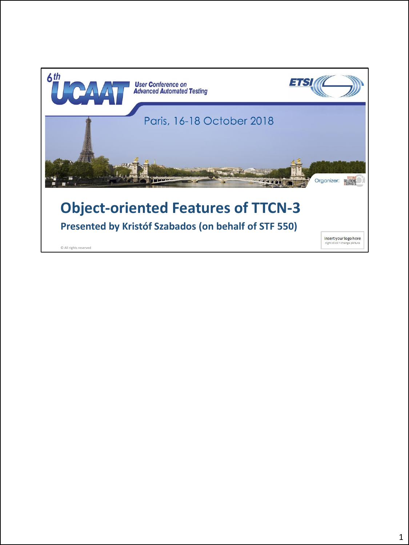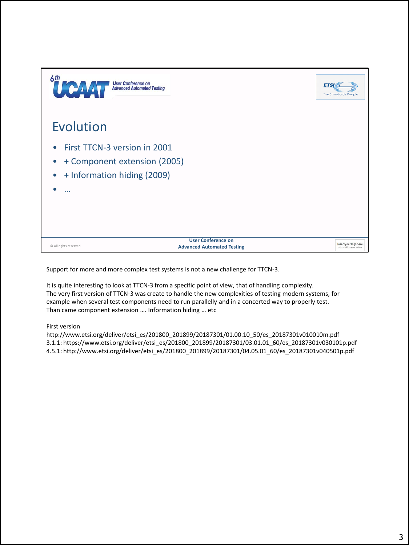

Support for more and more complex test systems is not a new challenge for TTCN-3.

It is quite interesting to look at TTCN-3 from a specific point of view, that of handling complexity. The very first version of TTCN-3 was create to handle the new complexities of testing modern systems, for example when several test components need to run parallelly and in a concerted way to properly test. Than came component extension …. Information hiding … etc

First version

http://www.etsi.org/deliver/etsi\_es/201800\_201899/20187301/01.00.10\_50/es\_20187301v010010m.pdf 3.1.1: https://www.etsi.org/deliver/etsi\_es/201800\_201899/20187301/03.01.01\_60/es\_20187301v030101p.pdf 4.5.1: http://www.etsi.org/deliver/etsi\_es/201800\_201899/20187301/04.05.01\_60/es\_20187301v040501p.pdf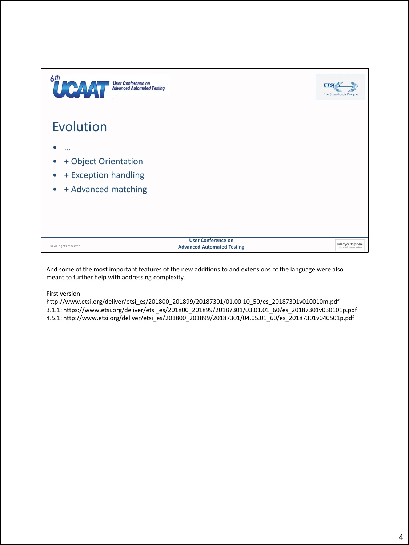

And some of the most important features of the new additions to and extensions of the language were also meant to further help with addressing complexity.

First version

http://www.etsi.org/deliver/etsi\_es/201800\_201899/20187301/01.00.10\_50/es\_20187301v010010m.pdf 3.1.1: https://www.etsi.org/deliver/etsi\_es/201800\_201899/20187301/03.01.01\_60/es\_20187301v030101p.pdf 4.5.1: http://www.etsi.org/deliver/etsi\_es/201800\_201899/20187301/04.05.01\_60/es\_20187301v040501p.pdf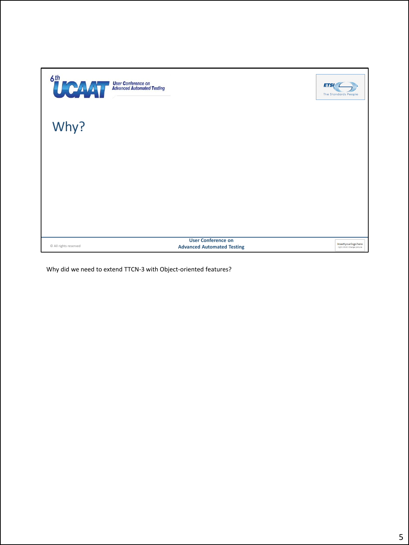| <sup>6th</sup> CAAT<br><b>User Conference on<br/>Advanced Automated Testing</b> |                                                                | <b>ETSI</b><br>The Standards People                  |
|---------------------------------------------------------------------------------|----------------------------------------------------------------|------------------------------------------------------|
| Why?                                                                            |                                                                |                                                      |
|                                                                                 |                                                                |                                                      |
|                                                                                 |                                                                |                                                      |
| © All rights reserved                                                           | <b>User Conference on</b><br><b>Advanced Automated Testing</b> | Insert your logo here<br>right click> change picture |

Why did we need to extend TTCN-3 with Object-oriented features?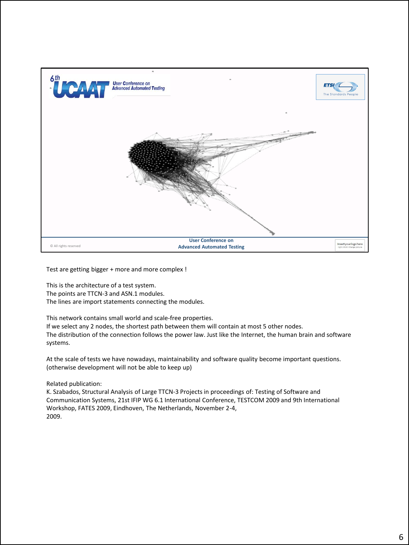

Test are getting bigger + more and more complex !

This is the architecture of a test system. The points are TTCN-3 and ASN.1 modules. The lines are import statements connecting the modules.

This network contains small world and scale-free properties.

If we select any 2 nodes, the shortest path between them will contain at most 5 other nodes. The distribution of the connection follows the power law. Just like the Internet, the human brain and software systems.

At the scale of tests we have nowadays, maintainability and software quality become important questions. (otherwise development will not be able to keep up)

Related publication:

K. Szabados, Structural Analysis of Large TTCN-3 Projects in proceedings of: Testing of Software and Communication Systems, 21st IFIP WG 6.1 International Conference, TESTCOM 2009 and 9th International Workshop, FATES 2009, Eindhoven, The Netherlands, November 2-4, 2009.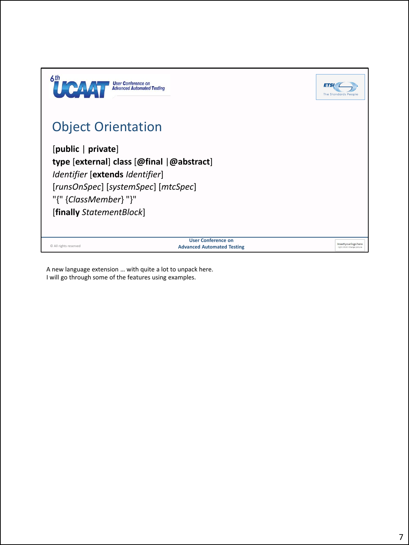| 6th                                                                                                                   | <b>User Conference on</b><br><b>Advanced Automated Testing</b> | ETSI<br><b>The Standards People</b>                  |
|-----------------------------------------------------------------------------------------------------------------------|----------------------------------------------------------------|------------------------------------------------------|
| <b>Object Orientation</b>                                                                                             |                                                                |                                                      |
| [public   private]<br>Identifier [extends Identifier]<br>[runsOnSpec] [systemSpec] [mtcSpec]<br>"{" {ClassMember} "}" | type [external] class [@final   @abstract]                     |                                                      |
| [finally StatementBlock]                                                                                              |                                                                |                                                      |
| © All rights reserved                                                                                                 | <b>User Conference on</b><br><b>Advanced Automated Testing</b> | Insert your logo here<br>right click> change picture |

A new language extension … with quite a lot to unpack here. I will go through some of the features using examples.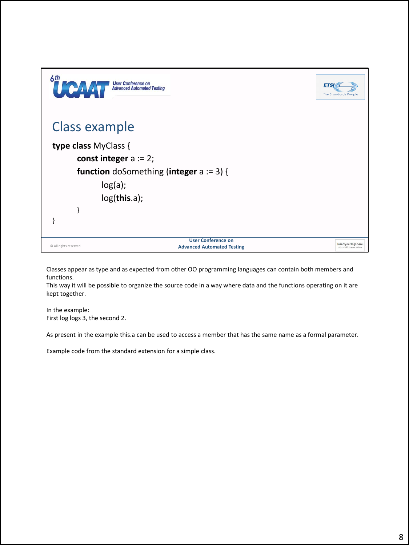| 6th<br>HE PAV             | <b>User Conference on</b><br><b>Advanced Automated Testing</b>                                              | <b>ETS</b><br><b>The Standards People</b>            |
|---------------------------|-------------------------------------------------------------------------------------------------------------|------------------------------------------------------|
| <b>Class example</b>      |                                                                                                             |                                                      |
| type class MyClass {<br>} | const integer $a := 2$ ;<br><b>function</b> doSomething (integer $a := 3$ ) {<br>$log(a)$ ;<br>log(this.a); |                                                      |
| C All rights reserved     | <b>User Conference on</b><br><b>Advanced Automated Testing</b>                                              | Insert your logo here<br>right click> change picture |

Classes appear as type and as expected from other OO programming languages can contain both members and functions.

This way it will be possible to organize the source code in a way where data and the functions operating on it are kept together.

In the example: First log logs 3, the second 2.

As present in the example this.a can be used to access a member that has the same name as a formal parameter.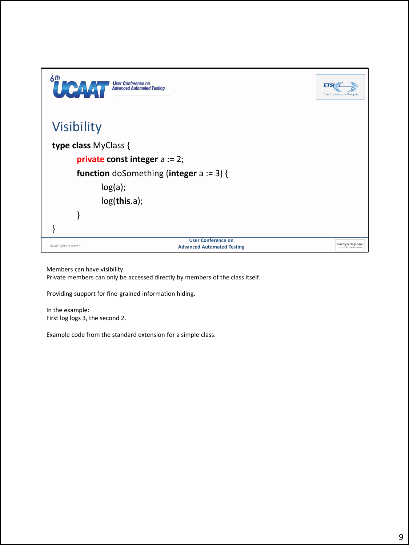| 6th<br>HO A           | <b>User Conference on</b><br><b>Advanced Automated Testing</b> | <b>ETS</b><br><b>The Standards People</b>            |
|-----------------------|----------------------------------------------------------------|------------------------------------------------------|
| <b>Visibility</b>     |                                                                |                                                      |
| type class MyClass {  |                                                                |                                                      |
|                       | <b>private const integer</b> $a := 2$ ;                        |                                                      |
|                       | <b>function</b> doSomething (integer $a := 3$ ) {              |                                                      |
|                       | $log(a)$ ;                                                     |                                                      |
|                       | log(this.a);                                                   |                                                      |
|                       |                                                                |                                                      |
|                       |                                                                |                                                      |
| © All rights reserved | <b>User Conference on</b><br><b>Advanced Automated Testing</b> | Insert your logo here<br>right click> change picture |

Members can have visibility.

Private members can only be accessed directly by members of the class itself.

Providing support for fine-grained information hiding.

In the example: First log logs 3, the second 2.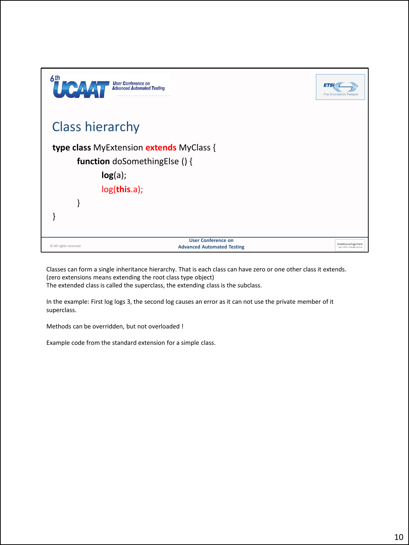

Classes can form a single inheritance hierarchy. That is each class can have zero or one other class it extends. (zero extensions means extending the root class type object) The extended class is called the superclass, the extending class is the subclass.

In the example: First log logs 3, the second log causes an error as it can not use the private member of it superclass.

Methods can be overridden, but not overloaded !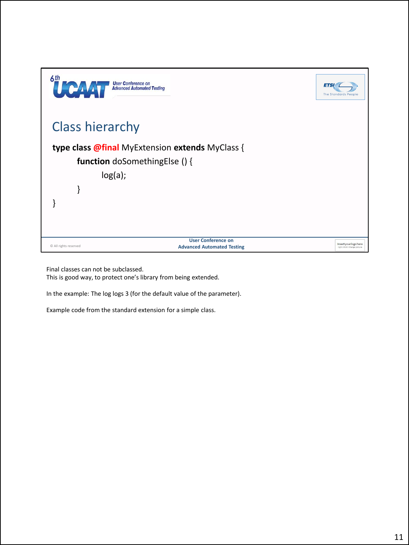

Final classes can not be subclassed.

This is good way, to protect one's library from being extended.

In the example: The log logs 3 (for the default value of the parameter).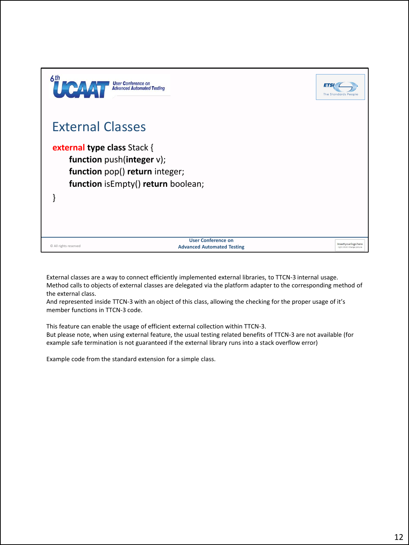

External classes are a way to connect efficiently implemented external libraries, to TTCN-3 internal usage. Method calls to objects of external classes are delegated via the platform adapter to the corresponding method of the external class.

And represented inside TTCN-3 with an object of this class, allowing the checking for the proper usage of it's member functions in TTCN-3 code.

This feature can enable the usage of efficient external collection within TTCN-3. But please note, when using external feature, the usual testing related benefits of TTCN-3 are not available (for example safe termination is not guaranteed if the external library runs into a stack overflow error)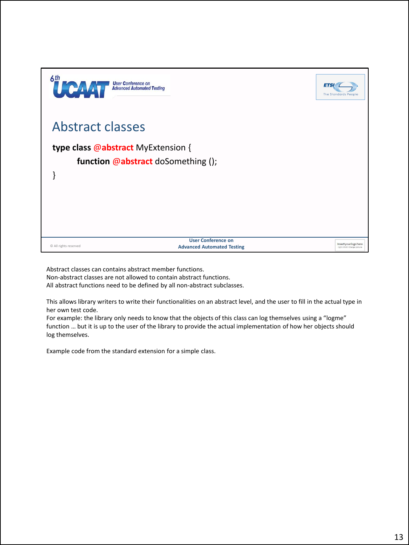| 6th<br>$\prod_{i=1}^{n} \mathbf{e}^{\mathbf{1}}$ | <b>User Conference on</b><br><b>Advanced Automated Testing</b>           | <b>ETS</b><br><b>The Standards People</b>            |
|--------------------------------------------------|--------------------------------------------------------------------------|------------------------------------------------------|
| <b>Abstract classes</b>                          |                                                                          |                                                      |
|                                                  | type class @abstract MyExtension {<br>function @abstract doSomething (); |                                                      |
| © All rights reserved                            | <b>User Conference on</b><br><b>Advanced Automated Testing</b>           | Insert your logo here<br>right click> change picture |

Abstract classes can contains abstract member functions. Non-abstract classes are not allowed to contain abstract functions. All abstract functions need to be defined by all non-abstract subclasses.

This allows library writers to write their functionalities on an abstract level, and the user to fill in the actual type in her own test code.

For example: the library only needs to know that the objects of this class can log themselves using a "logme" function … but it is up to the user of the library to provide the actual implementation of how her objects should log themselves.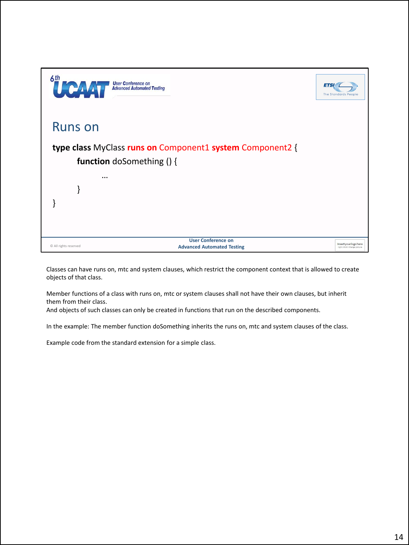

Classes can have runs on, mtc and system clauses, which restrict the component context that is allowed to create objects of that class.

Member functions of a class with runs on, mtc or system clauses shall not have their own clauses, but inherit them from their class.

And objects of such classes can only be created in functions that run on the described components.

In the example: The member function doSomething inherits the runs on, mtc and system clauses of the class.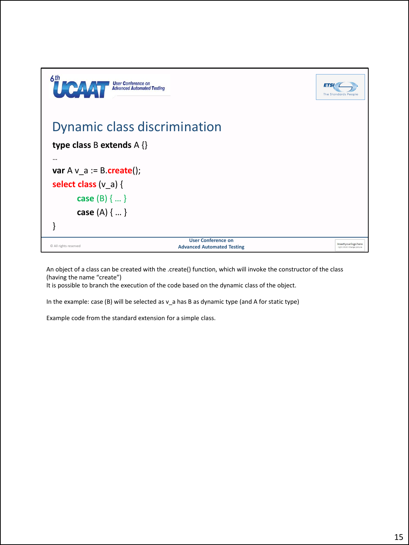| 6th<br><b>User Conference on</b><br>HF C<br><b>Advanced Automated Testing</b> |                                                                | <b>ETSI</b><br><b>The Standards People</b>           |
|-------------------------------------------------------------------------------|----------------------------------------------------------------|------------------------------------------------------|
| Dynamic class discrimination                                                  |                                                                |                                                      |
| type class B extends $A \{\}$                                                 |                                                                |                                                      |
| $\cdots$                                                                      |                                                                |                                                      |
| var $A v_a := B \cdot \text{create}()$ ;                                      |                                                                |                                                      |
| select class $(v_a)$ {                                                        |                                                                |                                                      |
| <b>case</b> (B) $\{  \}$                                                      |                                                                |                                                      |
| <b>case</b> (A) $\{  \}$                                                      |                                                                |                                                      |
|                                                                               |                                                                |                                                      |
| C All rights reserved                                                         | <b>User Conference on</b><br><b>Advanced Automated Testing</b> | Insert your logo here<br>right click> change picture |

An object of a class can be created with the .create() function, which will invoke the constructor of the class (having the name "create")

It is possible to branch the execution of the code based on the dynamic class of the object.

In the example: case (B) will be selected as v\_a has B as dynamic type (and A for static type)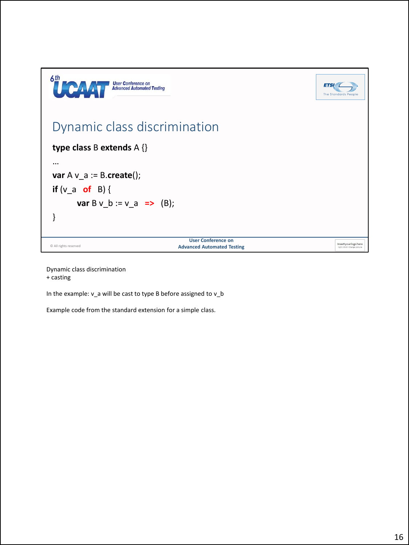

Dynamic class discrimination + casting

In the example: v\_a will be cast to type B before assigned to v\_b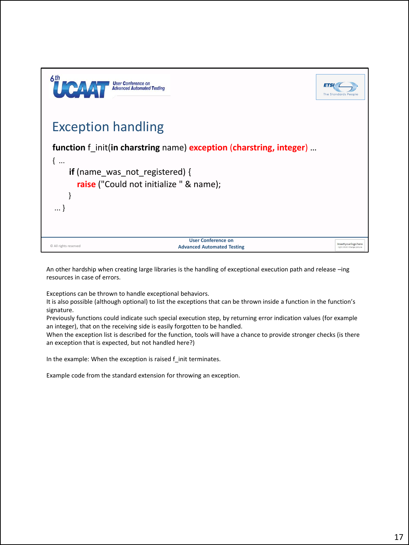| 6th<br><b>User Conference on<br/>Advanced Automated Testing</b>                         | <b>ETS</b><br><b>The Standards People</b>            |
|-----------------------------------------------------------------------------------------|------------------------------------------------------|
| <b>Exception handling</b>                                                               |                                                      |
| function f init(in charstring name) exception (charstring, integer)                     |                                                      |
| $\{$<br>if (name was not registered) {<br>raise ("Could not initialize " & name);       |                                                      |
|                                                                                         |                                                      |
|                                                                                         |                                                      |
| <b>User Conference on</b><br>C All rights reserved<br><b>Advanced Automated Testing</b> | Insert your logo here<br>right click> change picture |

An other hardship when creating large libraries is the handling of exceptional execution path and release –ing resources in case of errors.

Exceptions can be thrown to handle exceptional behaviors.

It is also possible (although optional) to list the exceptions that can be thrown inside a function in the function's signature.

Previously functions could indicate such special execution step, by returning error indication values (for example an integer), that on the receiving side is easily forgotten to be handled.

When the exception list is described for the function, tools will have a chance to provide stronger checks (is there an exception that is expected, but not handled here?)

In the example: When the exception is raised f\_init terminates.

Example code from the standard extension for throwing an exception.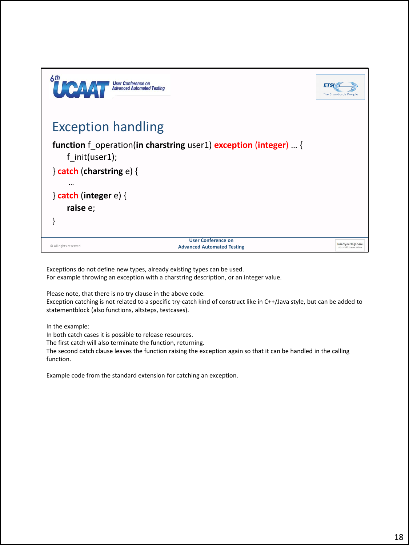

Exceptions do not define new types, already existing types can be used. For example throwing an exception with a charstring description, or an integer value.

Please note, that there is no try clause in the above code.

Exception catching is not related to a specific try-catch kind of construct like in C++/Java style, but can be added to statementblock (also functions, altsteps, testcases).

In the example:

In both catch cases it is possible to release resources.

The first catch will also terminate the function, returning.

The second catch clause leaves the function raising the exception again so that it can be handled in the calling function.

Example code from the standard extension for catching an exception.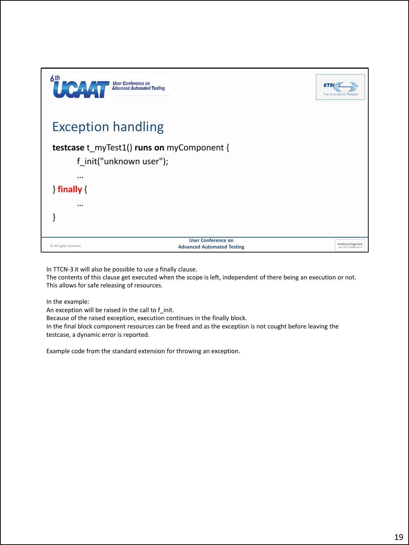| 6th<br><b>TEAV</b>        | <b>User Conference on<br/>Advanced Automated Testing</b>       | <b>ETS</b><br><b>The Standards People</b>            |
|---------------------------|----------------------------------------------------------------|------------------------------------------------------|
| <b>Exception handling</b> |                                                                |                                                      |
| f init("unknown user");   | <b>testcase</b> t_myTest1() runs on myComponent {              |                                                      |
| $\cdots$                  |                                                                |                                                      |
| $\}$ finally $\{$         |                                                                |                                                      |
| $\cdots$                  |                                                                |                                                      |
| © All rights reserved     | <b>User Conference on</b><br><b>Advanced Automated Testing</b> | Insert your logo here<br>right click> change picture |

In TTCN-3 it will also be possible to use a finally clause.

The contents of this clause get executed when the scope is left, independent of there being an execution or not. This allows for safe releasing of resources.

In the example:

An exception will be raised in the call to f\_init.

Because of the raised exception, execution continues in the finally block.

In the final block component resources can be freed and as the exception is not cought before leaving the testcase, a dynamic error is reported.

Example code from the standard extension for throwing an exception.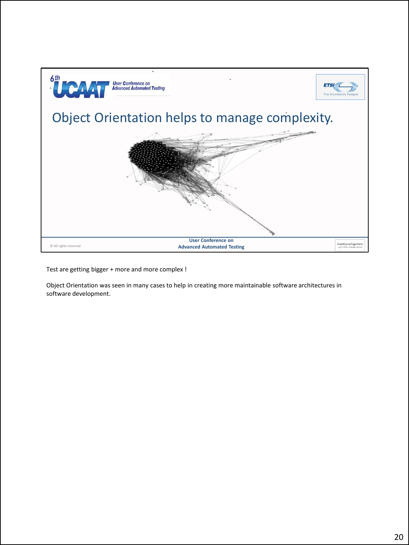

Test are getting bigger + more and more complex !

Object Orientation was seen in many cases to help in creating more maintainable software architectures in software development.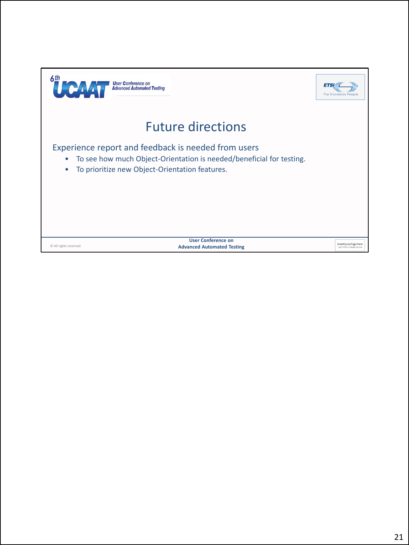| 6 <sup>th</sup><br><b>User Conference on</b><br><b>Advanced Automated Testing</b>                                                                                                               | <b>ETS</b><br>The Standards                          |
|-------------------------------------------------------------------------------------------------------------------------------------------------------------------------------------------------|------------------------------------------------------|
| <b>Future directions</b>                                                                                                                                                                        |                                                      |
| Experience report and feedback is needed from users<br>To see how much Object-Orientation is needed/beneficial for testing.<br>٠<br>To prioritize new Object-Orientation features.<br>$\bullet$ |                                                      |
| <b>User Conference on</b><br>© All rights reserved<br><b>Advanced Automated Testing</b>                                                                                                         | Insert your logo here<br>right click> change picture |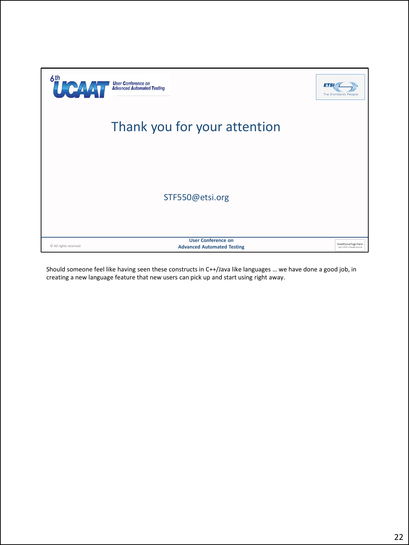| 6th<br>UPAY           | <b>User Conference on<br/>Advanced Automated Testing</b><br><b>ETSI</b> | <b>The Standards People</b>                          |
|-----------------------|-------------------------------------------------------------------------|------------------------------------------------------|
|                       | Thank you for your attention                                            |                                                      |
|                       |                                                                         |                                                      |
|                       | STF550@etsi.org                                                         |                                                      |
| © All rights reserved | <b>User Conference on</b><br><b>Advanced Automated Testing</b>          | Insert your logo here<br>right click> change picture |

Should someone feel like having seen these constructs in C++/Java like languages … we have done a good job, in creating a new language feature that new users can pick up and start using right away.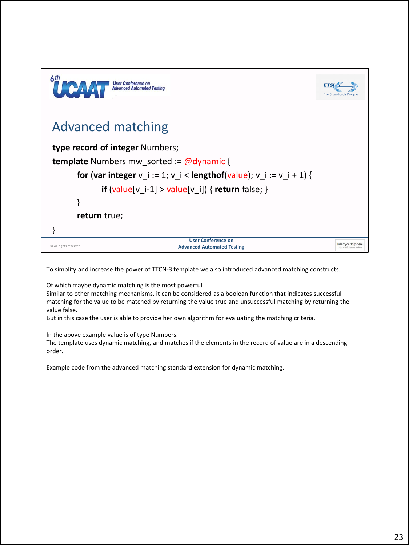| 6th<br><b>User Conference on</b><br><b>Advanced Automated Testing</b>                   | <b>ETS</b><br>The Standards People                   |
|-----------------------------------------------------------------------------------------|------------------------------------------------------|
| <b>Advanced matching</b>                                                                |                                                      |
| type record of integer Numbers;                                                         |                                                      |
| <b>template</b> Numbers mw sorted := $@dy$ namic {                                      |                                                      |
| for (var integer $v_i := 1$ ; $v_i <$ lengthof(value); $v_i := v_i + 1$ } {             |                                                      |
| if $(value[v_i-1] > value[v_i])$ { return false; }                                      |                                                      |
|                                                                                         |                                                      |
| return true;                                                                            |                                                      |
|                                                                                         |                                                      |
| <b>User Conference on</b><br>C All rights reserved<br><b>Advanced Automated Testing</b> | Insert your logo here<br>right click> change picture |

To simplify and increase the power of TTCN-3 template we also introduced advanced matching constructs.

Of which maybe dynamic matching is the most powerful.

Similar to other matching mechanisms, it can be considered as a boolean function that indicates successful matching for the value to be matched by returning the value true and unsuccessful matching by returning the value false.

But in this case the user is able to provide her own algorithm for evaluating the matching criteria.

In the above example value is of type Numbers.

The template uses dynamic matching, and matches if the elements in the record of value are in a descending order.

Example code from the advanced matching standard extension for dynamic matching.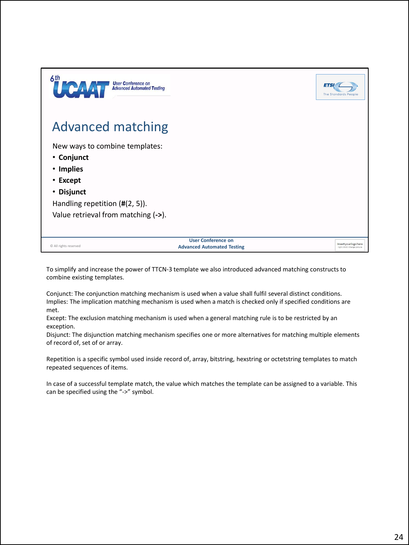| 6th<br><b>User Conference on<br/>Advanced Automated Testing</b><br><b>TEPA</b> |                                                                | <b>ETS</b><br><b>The Standards People</b>            |
|--------------------------------------------------------------------------------|----------------------------------------------------------------|------------------------------------------------------|
| <b>Advanced matching</b>                                                       |                                                                |                                                      |
| New ways to combine templates:                                                 |                                                                |                                                      |
| • Conjunct                                                                     |                                                                |                                                      |
| • Implies                                                                      |                                                                |                                                      |
| • Except                                                                       |                                                                |                                                      |
| • Disjunct                                                                     |                                                                |                                                      |
| Handling repetition $(H(2, 5))$ .                                              |                                                                |                                                      |
| Value retrieval from matching (->).                                            |                                                                |                                                      |
|                                                                                |                                                                |                                                      |
| C All rights reserved                                                          | <b>User Conference on</b><br><b>Advanced Automated Testing</b> | Insert your logo here<br>right click> change picture |

To simplify and increase the power of TTCN-3 template we also introduced advanced matching constructs to combine existing templates.

Conjunct: The conjunction matching mechanism is used when a value shall fulfil several distinct conditions. Implies: The implication matching mechanism is used when a match is checked only if specified conditions are met.

Except: The exclusion matching mechanism is used when a general matching rule is to be restricted by an exception.

Disjunct: The disjunction matching mechanism specifies one or more alternatives for matching multiple elements of record of, set of or array.

Repetition is a specific symbol used inside record of, array, bitstring, hexstring or octetstring templates to match repeated sequences of items.

In case of a successful template match, the value which matches the template can be assigned to a variable. This can be specified using the "->" symbol.